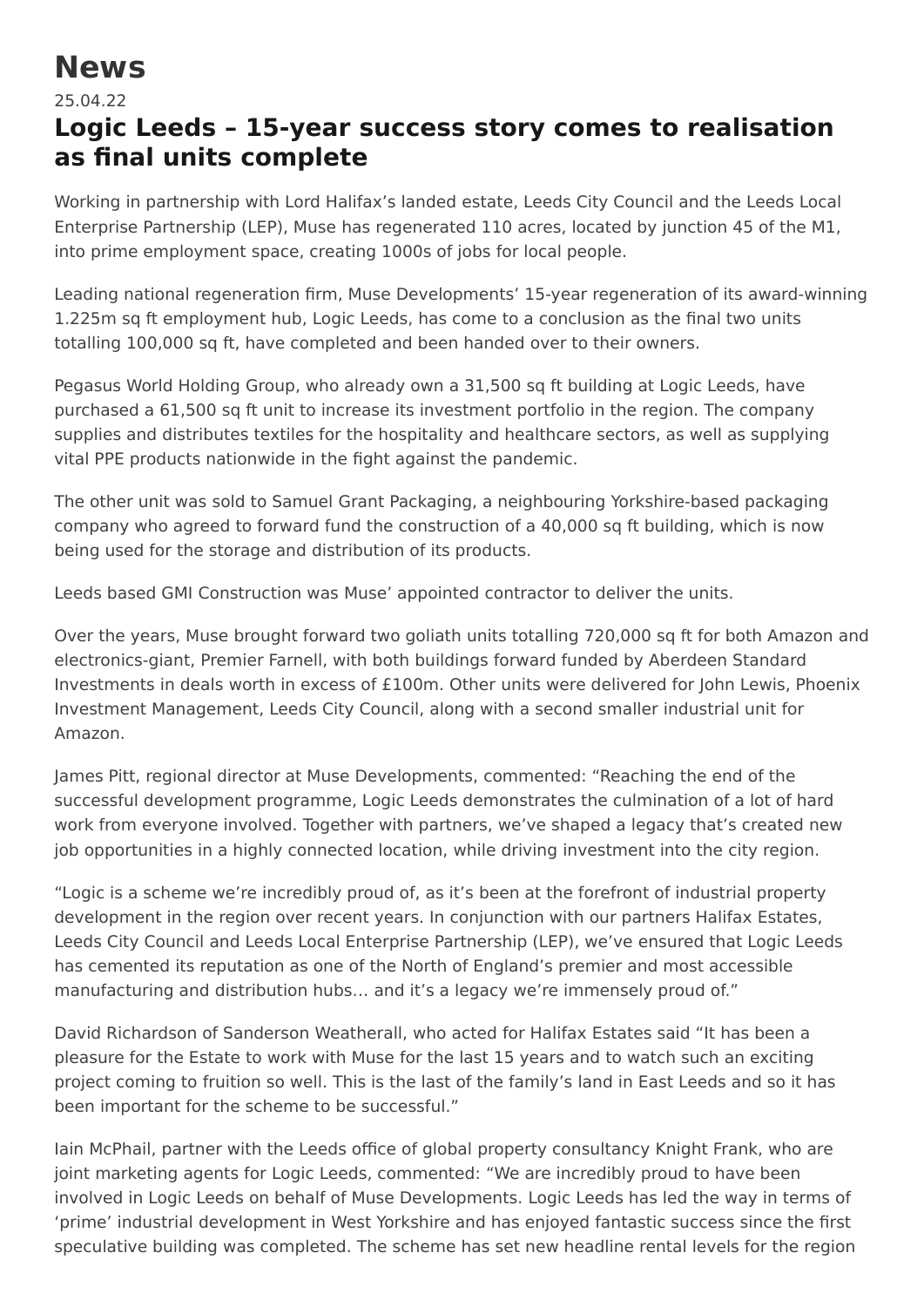## **News**

25.04.22

## **Logic Leeds – 15-year success story comes to realisation as final units complete**

Working in partnership with Lord Halifax's landed estate, Leeds City Council and the Leeds Local Enterprise Partnership (LEP), Muse has regenerated 110 acres, located by junction 45 of the M1, into prime employment space, creating 1000s of jobs for local people.

Leading national regeneration firm, Muse Developments' 15-year regeneration of its award-winning 1.225m sq ft employment hub, Logic Leeds, has come to a conclusion as the final two units totalling 100,000 sq ft, have completed and been handed over to their owners.

Pegasus World Holding Group, who already own a 31,500 sq ft building at Logic Leeds, have purchased a 61,500 sq ft unit to increase its investment portfolio in the region. The company supplies and distributes textiles for the hospitality and healthcare sectors, as well as supplying vital PPE products nationwide in the fight against the pandemic.

The other unit was sold to Samuel Grant Packaging, a neighbouring Yorkshire-based packaging company who agreed to forward fund the construction of a 40,000 sq ft building, which is now being used for the storage and distribution of its products.

Leeds based GMI Construction was Muse' appointed contractor to deliver the units.

Over the years, Muse brought forward two goliath units totalling 720,000 sq ft for both Amazon and electronics-giant, Premier Farnell, with both buildings forward funded by Aberdeen Standard Investments in deals worth in excess of £100m. Other units were delivered for John Lewis, Phoenix Investment Management, Leeds City Council, along with a second smaller industrial unit for Amazon.

James Pitt, regional director at Muse Developments, commented: "Reaching the end of the successful development programme, Logic Leeds demonstrates the culmination of a lot of hard work from everyone involved. Together with partners, we've shaped a legacy that's created new job opportunities in a highly connected location, while driving investment into the city region.

"Logic is a scheme we're incredibly proud of, as it's been at the forefront of industrial property development in the region over recent years. In conjunction with our partners Halifax Estates, Leeds City Council and Leeds Local Enterprise Partnership (LEP), we've ensured that Logic Leeds has cemented its reputation as one of the North of England's premier and most accessible manufacturing and distribution hubs… and it's a legacy we're immensely proud of."

David Richardson of Sanderson Weatherall, who acted for Halifax Estates said "It has been a pleasure for the Estate to work with Muse for the last 15 years and to watch such an exciting project coming to fruition so well. This is the last of the family's land in East Leeds and so it has been important for the scheme to be successful."

Iain McPhail, partner with the Leeds office of global property consultancy Knight Frank, who are joint marketing agents for Logic Leeds, commented: "We are incredibly proud to have been involved in Logic Leeds on behalf of Muse Developments. Logic Leeds has led the way in terms of 'prime' industrial development in West Yorkshire and has enjoyed fantastic success since the first speculative building was completed. The scheme has set new headline rental levels for the region